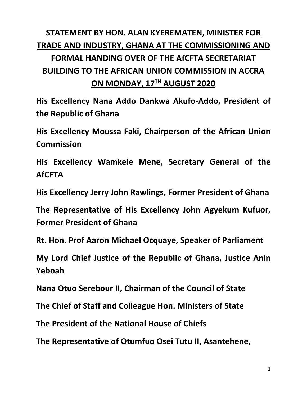## **STATEMENT BY HON. ALAN KYEREMATEN, MINISTER FOR TRADE AND INDUSTRY, GHANA AT THE COMMISSIONING AND FORMAL HANDING OVER OF THE AfCFTA SECRETARIAT BUILDING TO THE AFRICAN UNION COMMISSION IN ACCRA ON MONDAY, 17TH AUGUST 2020**

**His Excellency Nana Addo Dankwa Akufo-Addo, President of the Republic of Ghana**

**His Excellency Moussa Faki, Chairperson of the African Union Commission**

**His Excellency Wamkele Mene, Secretary General of the AfCFTA**

**His Excellency Jerry John Rawlings, Former President of Ghana**

**The Representative of His Excellency John Agyekum Kufuor, Former President of Ghana**

**Rt. Hon. Prof Aaron Michael Ocquaye, Speaker of Parliament**

**My Lord Chief Justice of the Republic of Ghana, Justice Anin Yeboah**

**Nana Otuo Serebour II, Chairman of the Council of State**

**The Chief of Staff and Colleague Hon. Ministers of State**

**The President of the National House of Chiefs**

**The Representative of Otumfuo Osei Tutu II, Asantehene,**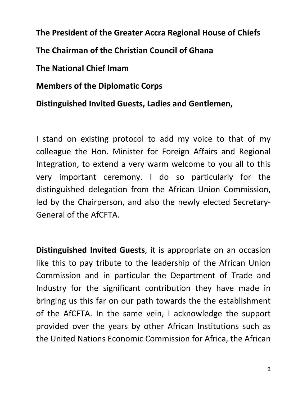**The President of the Greater Accra Regional House of Chiefs The Chairman of the Christian Council of Ghana The National Chief Imam** 

**Members of the Diplomatic Corps**

**Distinguished Invited Guests, Ladies and Gentlemen,**

I stand on existing protocol to add my voice to that of my colleague the Hon. Minister for Foreign Affairs and Regional Integration, to extend a very warm welcome to you all to this very important ceremony. I do so particularly for the distinguished delegation from the African Union Commission, led by the Chairperson, and also the newly elected Secretary-General of the AfCFTA.

**Distinguished Invited Guests**, it is appropriate on an occasion like this to pay tribute to the leadership of the African Union Commission and in particular the Department of Trade and Industry for the significant contribution they have made in bringing us this far on our path towards the the establishment of the AfCFTA. In the same vein, I acknowledge the support provided over the years by other African Institutions such as the United Nations Economic Commission for Africa, the African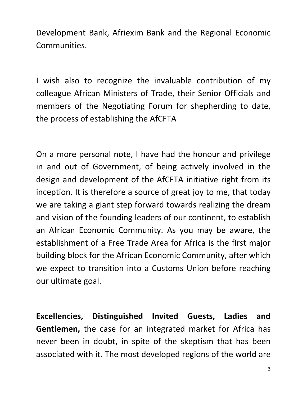Development Bank, Afriexim Bank and the Regional Economic Communities.

I wish also to recognize the invaluable contribution of my colleague African Ministers of Trade, their Senior Officials and members of the Negotiating Forum for shepherding to date, the process of establishing the AfCFTA

On a more personal note, I have had the honour and privilege in and out of Government, of being actively involved in the design and development of the AfCFTA initiative right from its inception. It is therefore a source of great joy to me, that today we are taking a giant step forward towards realizing the dream and vision of the founding leaders of our continent, to establish an African Economic Community. As you may be aware, the establishment of a Free Trade Area for Africa is the first major building block for the African Economic Community, after which we expect to transition into a Customs Union before reaching our ultimate goal.

**Excellencies, Distinguished Invited Guests, Ladies and Gentlemen,** the case for an integrated market for Africa has never been in doubt, in spite of the skeptism that has been associated with it. The most developed regions of the world are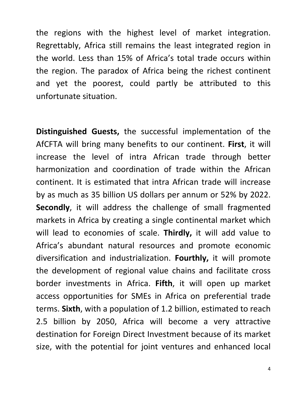the regions with the highest level of market integration. Regrettably, Africa still remains the least integrated region in the world. Less than 15% of Africa's total trade occurs within the region. The paradox of Africa being the richest continent and yet the poorest, could partly be attributed to this unfortunate situation.

**Distinguished Guests,** the successful implementation of the AfCFTA will bring many benefits to our continent. **First**, it will increase the level of intra African trade through better harmonization and coordination of trade within the African continent. It is estimated that intra African trade will increase by as much as 35 billion US dollars per annum or 52% by 2022. **Secondly**, it will address the challenge of small fragmented markets in Africa by creating a single continental market which will lead to economies of scale. **Thirdly,** it will add value to Africa's abundant natural resources and promote economic diversification and industrialization. **Fourthly,** it will promote the development of regional value chains and facilitate cross border investments in Africa. **Fifth**, it will open up market access opportunities for SMEs in Africa on preferential trade terms. **Sixth**, with a population of 1.2 billion, estimated to reach 2.5 billion by 2050, Africa will become a very attractive destination for Foreign Direct Investment because of its market size, with the potential for joint ventures and enhanced local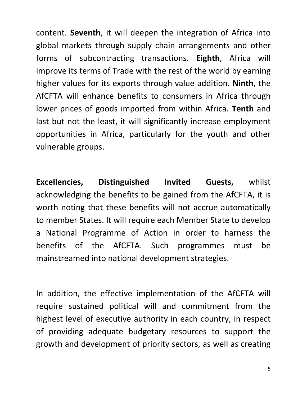content. **Seventh**, it will deepen the integration of Africa into global markets through supply chain arrangements and other forms of subcontracting transactions. **Eighth**, Africa will improve its terms of Trade with the rest of the world by earning higher values for its exports through value addition. **Ninth**, the AfCFTA will enhance benefits to consumers in Africa through lower prices of goods imported from within Africa. **Tenth** and last but not the least, it will significantly increase employment opportunities in Africa, particularly for the youth and other vulnerable groups.

**Excellencies, Distinguished Invited Guests,** whilst acknowledging the benefits to be gained from the AfCFTA, it is worth noting that these benefits will not accrue automatically to member States. It will require each Member State to develop a National Programme of Action in order to harness the benefits of the AfCFTA. Such programmes must be mainstreamed into national development strategies.

In addition, the effective implementation of the AfCFTA will require sustained political will and commitment from the highest level of executive authority in each country, in respect of providing adequate budgetary resources to support the growth and development of priority sectors, as well as creating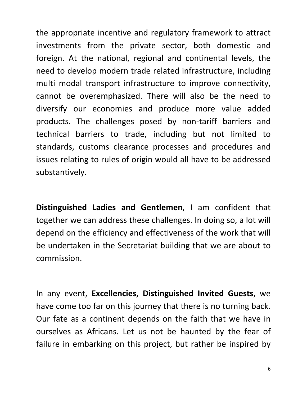the appropriate incentive and regulatory framework to attract investments from the private sector, both domestic and foreign. At the national, regional and continental levels, the need to develop modern trade related infrastructure, including multi modal transport infrastructure to improve connectivity, cannot be overemphasized. There will also be the need to diversify our economies and produce more value added products. The challenges posed by non-tariff barriers and technical barriers to trade, including but not limited to standards, customs clearance processes and procedures and issues relating to rules of origin would all have to be addressed substantively.

**Distinguished Ladies and Gentlemen**, I am confident that together we can address these challenges. In doing so, a lot will depend on the efficiency and effectiveness of the work that will be undertaken in the Secretariat building that we are about to commission.

In any event, **Excellencies, Distinguished Invited Guests**, we have come too far on this journey that there is no turning back. Our fate as a continent depends on the faith that we have in ourselves as Africans. Let us not be haunted by the fear of failure in embarking on this project, but rather be inspired by